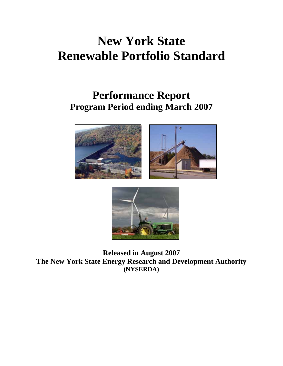# **New York State Renewable Portfolio Standard**

# **Performance Report Program Period ending March 2007**





**Released in August 2007 The New York State Energy Research and Development Authority (NYSERDA)**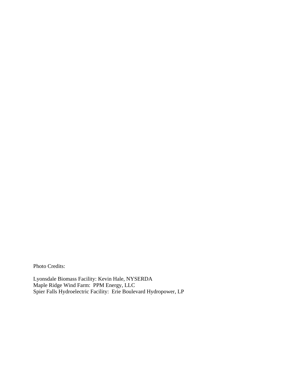Photo Credits:

Lyonsdale Biomass Facility: Kevin Hale, NYSERDA Maple Ridge Wind Farm: PPM Energy, LLC Spier Falls Hydroelectric Facility: Erie Boulevard Hydropower, LP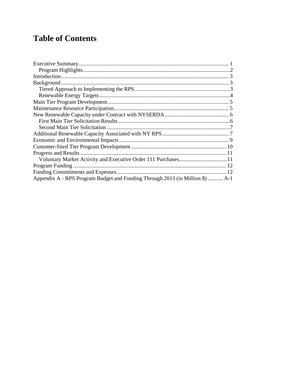### **Table of Contents**

| Appendix A - RPS Program Budget and Funding Through 2013 (in Million \$)  A-1 |  |
|-------------------------------------------------------------------------------|--|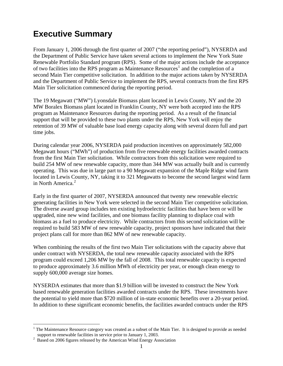### <span id="page-3-0"></span>**Executive Summary**

From January 1, 2006 through the first quarter of 2007 ("the reporting period"), NYSERDA and the Department of Public Service have taken several actions to implement the New York State Renewable Portfolio Standard program (RPS). Some of the major actions include the acceptance of two facilities into the RPS program as Maintenance Resources<sup>[1](#page-3-1)</sup> and the completion of a second Main Tier competitive solicitation. In addition to the major actions taken by NYSERDA and the Department of Public Service to implement the RPS, several contracts from the first RPS Main Tier solicitation commenced during the reporting period.

The 19 Megawatt ("MW") Lyonsdale Biomass plant located in Lewis County, NY and the 20 MW Boralex Biomass plant located in Franklin County, NY were both accepted into the RPS program as Maintenance Resources during the reporting period. As a result of the financial support that will be provided to these two plants under the RPS, New York will enjoy the retention of 39 MW of valuable base load energy capacity along with several dozen full and part time jobs.

During calendar year 2006, NYSERDA paid production incentives on approximately 582,000 Megawatt hours ("MWh") of production from five renewable energy facilities awarded contracts from the first Main Tier solicitation. While contractors from this solicitation were required to build 254 MW of new renewable capacity, more than 344 MW was actually built and is currently operating. This was due in large part to a 90 Megawatt expansion of the Maple Ridge wind farm located in Lewis County, NY, taking it to 321 Megawatts to become the second largest wind farm in North America. $2$ 

Early in the first quarter of 2007, NYSERDA announced that twenty new renewable electric generating facilities in New York were selected in the second Main Tier competitive solicitation. The diverse award group includes ten existing hydroelectric facilities that have been or will be upgraded, nine new wind facilities, and one biomass facility planning to displace coal with biomass as a fuel to produce electricity. While contractors from this second solicitation will be required to build 583 MW of new renewable capacity, project sponsors have indicated that their project plans call for more than 862 MW of new renewable capacity.

When combining the results of the first two Main Tier solicitations with the capacity above that under contract with NYSERDA, the total new renewable capacity associated with the RPS program could exceed 1,206 MW by the fall of 2008. This total renewable capacity is expected to produce approximately 3.6 million MWh of electricity per year, or enough clean energy to supply 600,000 average size homes.

NYSERDA estimates that more than \$1.9 billion will be invested to construct the New York based renewable generation facilities awarded contracts under the RPS. These investments have the potential to yield more than \$720 million of in-state economic benefits over a 20-year period. In addition to these significant economic benefits, the facilities awarded contracts under the RPS

 $\overline{a}$ 

<span id="page-3-1"></span><sup>&</sup>lt;sup>1</sup> The Maintenance Resource category was created as a subset of the Main Tier. It is designed to provide as needed support to renewable facilities in service prior to January 1, 2003.

<span id="page-3-2"></span> $\frac{2}{3}$  Based on 2006 figures released by the American Wind Energy Association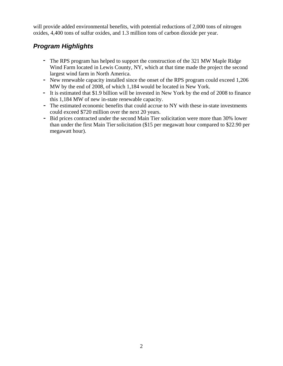<span id="page-4-0"></span>will provide added environmental benefits, with potential reductions of 2,000 tons of nitrogen oxides, 4,400 tons of sulfur oxides, and 1.3 million tons of carbon dioxide per year.

### *Program Highlights*

- **-** The RPS program has helped to support the construction of the 321 MW Maple Ridge Wind Farm located in Lewis County, NY, which at that time made the project the second largest wind farm in North America.
- **-** New renewable capacity installed since the onset of the RPS program could exceed 1,206 MW by the end of 2008, of which 1,184 would be located in New York.
- **-** It is estimated that \$1.9 billion will be invested in New York by the end of 2008 to finance this 1,184 MW of new in-state renewable capacity.
- **-** The estimated economic benefits that could accrue to NY with these in-state investments could exceed \$720 million over the next 20 years.
- **-** Bid prices contracted under the second Main Tier solicitation were more than 30% lower than under the first Main Tiersolicitation (\$15 per megawatt hour compared to \$22.90 per megawatt hour).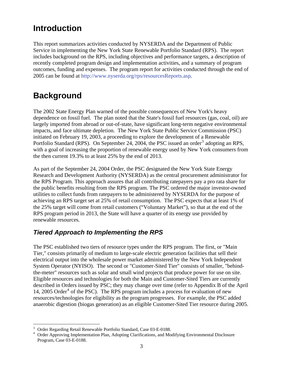### <span id="page-5-0"></span>**Introduction**

This report summarizes activities conducted by NYSERDA and the Department of Public Service in implementing the New York State Renewable Portfolio Standard (RPS). The report includes background on the RPS, including objectives and performance targets, a description of recently completed program design and implementation activities, and a summary of program outcomes, funding and expenses. The program report for activities conducted through the end of 2005 can be found at [http://www.nyserda.org/rps/resourcesReports.asp.](http://www.nyserda.org/rps/resourcesReports.asp)

### **Background**

The 2002 State Energy Plan warned of the possible consequences of New York's heavy dependence on fossil fuel. The plan noted that the State's fossil fuel resources (gas, coal, oil) are largely imported from abroad or out-of-state, have significant long-term negative environmental impacts, and face ultimate depletion. The New York State Public Service Commission (PSC) initiated on February 19, 2003, a proceeding to explore the development of a Renewable Portfolio Standard (RPS). On September 24, 2004, the PSC issued an order<sup>[3](#page-5-1)</sup> adopting an RPS, with a goal of increasing the proportion of renewable energy used by New York consumers from the then current 19.3% to at least 25% by the end of 2013.

As part of the September 24, 2004 Order, the PSC designated the New York State Energy Research and Development Authority (NYSERDA) as the central procurement administrator for the RPS Program. This approach assures that all contributing ratepayers pay a pro rata share for the public benefits resulting from the RPS program. The PSC ordered the major investor-owned utilities to collect funds from ratepayers to be administered by NYSERDA for the purpose of achieving an RPS target set at 25% of retail consumption. The PSC expects that at least 1% of the 25% target will come from retail customers ("Voluntary Market"), so that at the end of the RPS program period in 2013, the State will have a quarter of its energy use provided by renewable resources.

### *Tiered Approach to Implementing the RPS*

The PSC established two tiers of resource types under the RPS program. The first, or "Main Tier," consists primarily of medium to large-scale electric generation facilities that sell their electrical output into the wholesale power market administered by the New York Independent System Operator (NYISO). The second or "Customer-Sited Tier" consists of smaller, "behindthe-meter" resources such as solar and small wind projects that produce power for use on site. Eligible resources and technologies for both the Main and Customer-Sited Tiers are currently described in Orders issued by PSC; they may change over time (refer to Appendix B of the April 1[4](#page-5-2), 2005 Order<sup>4</sup> of the PSC). The RPS program includes a process for evaluation of new resources/technologies for eligibility as the program progresses. For example, the PSC added anaerobic digestion (biogas generation) as an eligible Customer-Sited Tier resource during 2005.

<span id="page-5-1"></span> $\overline{a}$ 3 Order Regarding Retail Renewable Portfolio Standard, Case 03-E-0188.

<span id="page-5-2"></span><sup>4</sup> Order Approving Implementation Plan, Adopting Clarifications, and Modifying Environmental Disclosure Program, Case 03-E-0188.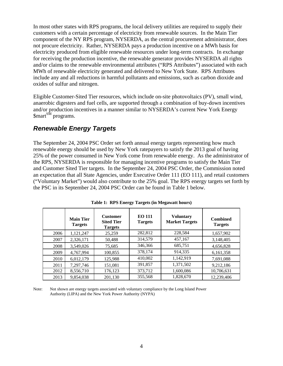<span id="page-6-0"></span>In most other states with RPS programs, the local delivery utilities are required to supply their customers with a certain percentage of electricity from renewable sources. In the Main Tier component of the NY RPS program, NYSERDA, as the central procurement administrator, does not procure electricity. Rather, NYSERDA pays a production incentive on a MWh basis for electricity produced from eligible renewable resources under long-term contracts. In exchange for receiving the production incentive, the renewable generator provides NYSERDA all rights and/or claims to the renewable environmental attributes ("RPS Attributes") associated with each MWh of renewable electricity generated and delivered to New York State. RPS Attributes include any and all reductions in harmful pollutants and emissions, such as carbon dioxide and oxides of sulfur and nitrogen.

Eligible Customer-Sited Tier resources, which include on-site photovoltaics (PV), small wind, anaerobic digesters and fuel cells, are supported through a combination of buy-down incentives and/or production incentives in a manner similar to NYSERDA's current New York Energy  $\mathcal{S}_{\text{mart}}^{\text{SM}}$  programs.

#### *Renewable Energy Targets*

The September 24, 2004 PSC Order set forth annual energy targets representing how much renewable energy should be used by New York ratepayers to satisfy the 2013 goal of having 25% of the power consumed in New York come from renewable energy. As the administrator of the RPS, NYSERDA is responsible for managing incentive programs to satisfy the Main Tier and Customer Sited Tier targets. In the September 24, 2004 PSC Order, the Commission noted an expectation that all State Agencies, under Executive Order 111 (EO 111), and retail customers ("Voluntary Market") would also contribute to the 25% goal. The RPS energy targets set forth by the PSC in its September 24, 2004 PSC Order can be found in Table 1 below.

|      | <b>Main Tier</b><br><b>Targets</b> | <b>Customer</b><br><b>Sited Tier</b><br><b>Targets</b> | <b>EO 111</b><br><b>Targets</b> | <b>Voluntary</b><br><b>Market Targets</b> | <b>Combined</b><br><b>Targets</b> |
|------|------------------------------------|--------------------------------------------------------|---------------------------------|-------------------------------------------|-----------------------------------|
| 2006 | 1,121,247                          | 25,259                                                 | 282,812                         | 228,584                                   | 1,657,902                         |
| 2007 | 2,326,171                          | 50,488                                                 | 314,579                         | 457,167                                   | 3,148,405                         |
| 2008 | 3,549,026                          | 75,685                                                 | 346,366                         | 685,751                                   | 4,656,828                         |
| 2009 | 4,767,994                          | 100,855                                                | 378,174                         | 914,335                                   | 6,161,358                         |
| 2010 | 6,012,179                          | 125,988                                                | 410,002                         | 1,142,919                                 | 7,691,088                         |
| 2011 | 7,297,746                          | 151,081                                                | 391,857                         | 1,371,502                                 | 9,212,186                         |
| 2012 | 8,556,710                          | 176,123                                                | 373,712                         | 1,600,086                                 | 10,706,631                        |
| 2013 | 9,854,038                          | 201,130                                                | 355,568                         | 1,828,670                                 | 12,239,406                        |

**Table 1: RPS Energy Targets (in Megawatt hours)** 

Note: Not shown are energy targets associated with voluntary compliance by the Long Island Power Authority (LIPA) and the New York Power Authority (NYPA)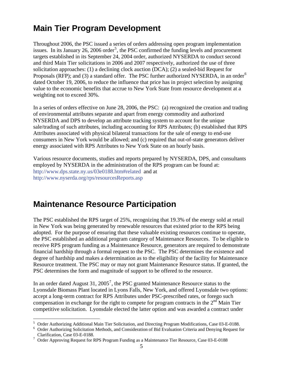### <span id="page-7-0"></span>**Main Tier Program Development**

Throughout 2006, the PSC issued a series of orders addressing open program implementation issues. In its January 26, 2006 order<sup>[5](#page-7-1)</sup>, the PSC confirmed the funding levels and procurement targets established in its September 24, 2004 order, authorized NYSERDA to conduct second and third Main Tier solicitations in 2006 and 2007 respectively, authorized the use of three solicitation approaches: (1) a declining clock auction (DCA); (2) a sealed-bid Request for Proposals (RFP); and (3) a standard offer. The PSC further authorized NYSERDA, in an order<sup>[6](#page-7-2)</sup> dated October 19, 2006, to reduce the influence that price has in project selection by assigning value to the economic benefits that accrue to New York State from resource development at a weighting not to exceed 30%.

In a series of orders effective on June 28, 2006, the PSC: (a) recognized the creation and trading of environmental attributes separate and apart from energy commodity and authorized NYSERDA and DPS to develop an attribute tracking system to account for the unique sale/trading of such attributes, including accounting for RPS Attributes; (b) established that RPS Attributes associated with physical bilateral transactions for the sale of energy to end-use consumers in New York would be allowed; and (c) required that out-of-state generators deliver energy associated with RPS Attributes to New York State on an hourly basis.

Various resource documents, studies and reports prepared by NYSERDA, DPS, and consultants employed by NYSERDA in the administration of the RPS program can be found at: <http://www.dps.state.ny.us/03e0188.htm#related>and at <http://www.nyserda.org/rps/resourcesReports.asp>

### **Maintenance Resource Participation**

 $\overline{a}$ 

The PSC established the RPS target of 25%, recognizing that 19.3% of the energy sold at retail in New York was being generated by renewable resources that existed prior to the RPS being adopted. For the purpose of ensuring that these valuable existing resources continue to operate, the PSC established an additional program category of Maintenance Resources. To be eligible to receive RPS program funding as a Maintenance Resource, generators are required to demonstrate financial hardship through a formal request to the PSC. The PSC determines the existence and degree of hardship and makes a determination as to the eligibility of the facility for Maintenance Resource treatment. The PSC may or may not grant Maintenance Resource status. If granted, the PSC determines the form and magnitude of support to be offered to the resource.

In an order dated August 31, 2005<sup>[7](#page-7-3)</sup>, the PSC granted Maintenance Resource status to the Lyonsdale Biomass Plant located in Lyons Falls, New York, and offered Lyonsdale two options: accept a long-term contract for RPS Attributes under PSC-prescribed rates, or forego such compensation in exchange for the right to compete for program contracts in the  $2<sup>nd</sup>$  Main Tier competitive solicitation. Lyonsdale elected the latter option and was awarded a contract under

<span id="page-7-1"></span><sup>&</sup>lt;sup>5</sup> Order Authorizing Additional Main Tier Solicitation, and Directing Program Modifications, Case 03-E-0188.

<span id="page-7-2"></span><sup>&</sup>lt;sup>6</sup> Order Authorizing Solicitation Methods, and Consideration of Bid Evaluation Criteria and Denying Request for Clarification, Case 03-E-0188. 7

<span id="page-7-3"></span> $7$  Order Approving Request for RPS Program Funding as a Maintenance Tier Resource, Case 03-E-0188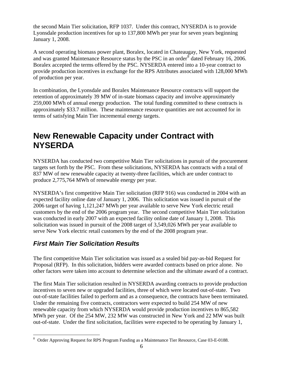<span id="page-8-0"></span>the second Main Tier solicitation, RFP 1037. Under this contract, NYSERDA is to provide Lyonsdale production incentives for up to 137,800 MWh per year for seven years beginning January 1, 2008.

A second operating biomass power plant, Boralex, located in Chateaugay, New York, requested and was granted Maintenance Resource status by the PSC in an order  $\delta$  dated February 16, 2006. Boralex accepted the terms offered by the PSC. NYSERDA entered into a 10-year contract to provide production incentives in exchange for the RPS Attributes associated with 128,000 MWh of production per year.

In combination, the Lyonsdale and Boralex Maintenance Resource contracts will support the retention of approximately 39 MW of in-state biomass capacity and involve approximately 259,000 MWh of annual energy production. The total funding committed to these contracts is approximately \$33.7 million. These maintenance resource quantities are not accounted for in terms of satisfying Main Tier incremental energy targets.

### **New Renewable Capacity under Contract with NYSERDA**

NYSERDA has conducted two competitive Main Tier solicitations in pursuit of the procurement targets set forth by the PSC. From these solicitations, NYSERDA has contracts with a total of 837 MW of new renewable capacity at twenty-three facilities, which are under contract to produce 2,775,764 MWh of renewable energy per year.

NYSERDA's first competitive Main Tier solicitation (RFP 916) was conducted in 2004 with an expected facility online date of January 1, 2006. This solicitation was issued in pursuit of the 2006 target of having 1,121,247 MWh per year available to serve New York electric retail customers by the end of the 2006 program year. The second competitive Main Tier solicitation was conducted in early 2007 with an expected facility online date of January 1, 2008. This solicitation was issued in pursuit of the 2008 target of 3,549,026 MWh per year available to serve New York electric retail customers by the end of the 2008 program year.

### *First Main Tier Solicitation Results*

 $\overline{a}$ 

The first competitive Main Tier solicitation was issued as a sealed bid pay-as-bid Request for Proposal (RFP). In this solicitation, bidders were awarded contracts based on price alone. No other factors were taken into account to determine selection and the ultimate award of a contract.

The first Main Tier solicitation resulted in NYSERDA awarding contracts to provide production incentives to seven new or upgraded facilities, three of which were located out-of-state. Two out-of-state facilities failed to perform and as a consequence, the contracts have been terminated. Under the remaining five contracts, contractors were expected to build 254 MW of new renewable capacity from which NYSERDA would provide production incentives to 865,582 MWh per year. Of the 254 MW, 232 MW was constructed in New York and 22 MW was built out-of-state. Under the first solicitation, facilities were expected to be operating by January 1,

<span id="page-8-1"></span><sup>&</sup>lt;sup>8</sup> Order Approving Request for RPS Program Funding as a Maintenance Tier Resource, Case 03-E-0188.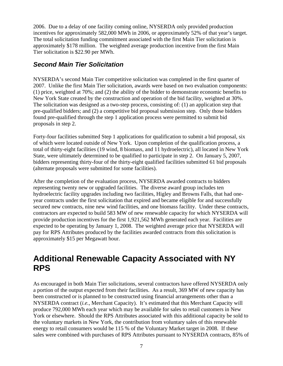<span id="page-9-0"></span>2006. Due to a delay of one facility coming online, NYSERDA only provided production incentives for approximately 582,000 MWh in 2006, or approximately 52% of that year's target. The total solicitation funding commitment associated with the first Main Tier solicitation is approximately \$178 million. The weighted average production incentive from the first Main Tier solicitation is \$22.90 per MWh.

#### *Second Main Tier Solicitation*

NYSERDA's second Main Tier competitive solicitation was completed in the first quarter of 2007. Unlike the first Main Tier solicitation, awards were based on two evaluation components: (1) price, weighted at 70%; and (2) the ability of the bidder to demonstrate economic benefits to New York State created by the construction and operation of the bid facility, weighted at 30%. The solicitation was designed as a two-step process, consisting of: (1) an application step that pre-qualified bidders; and (2) a competitive bid proposal submission step. Only those bidders found pre-qualified through the step 1 application process were permitted to submit bid proposals in step 2.

Forty-four facilities submitted Step 1 applications for qualification to submit a bid proposal, six of which were located outside of New York. Upon completion of the qualification process, a total of thirty-eight facilities (19 wind, 8 biomass, and 11 hydroelectric), all located in New York State, were ultimately determined to be qualified to participate in step 2. On January 5, 2007, bidders representing thirty-four of the thirty-eight qualified facilities submitted 61 bid proposals (alternate proposals were submitted for some facilities).

After the completion of the evaluation process, NYSERDA awarded contracts to bidders representing twenty new or upgraded facilities. The diverse award group includes ten hydroelectric facility upgrades including two facilities, Higley and Browns Falls, that had oneyear contracts under the first solicitation that expired and became eligible for and successfully secured new contracts, nine new wind facilities, and one biomass facility. Under these contracts, contractors are expected to build 583 MW of new renewable capacity for which NYSERDA will provide production incentives for the first 1,921,562 MWh generated each year. Facilities are expected to be operating by January 1, 2008. The weighted average price that NYSERDA will pay for RPS Attributes produced by the facilities awarded contracts from this solicitation is approximately \$15 per Megawatt hour.

### **Additional Renewable Capacity Associated with NY RPS**

As encouraged in both Main Tier solicitations, several contractors have offered NYSERDA only a portion of the output expected from their facilities. As a result, 369 MW of new capacity has been constructed or is planned to be constructed using financial arrangements other than a NYSERDA contract (*i.e.*, Merchant Capacity). It's estimated that this Merchant Capacity will produce 792,000 MWh each year which may be available for sales to retail customers in New York or elsewhere. Should the RPS Attributes associated with this additional capacity be sold to the voluntary markets in New York, the contribution from voluntary sales of this renewable energy to retail consumers would be 115 % of the Voluntary Market target in 2008. If these sales were combined with purchases of RPS Attributes pursuant to NYSERDA contracts, 85% of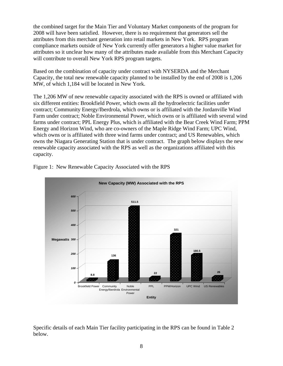the combined target for the Main Tier and Voluntary Market components of the program for 2008 will have been satisfied. However, there is no requirement that generators sell the attributes from this merchant generation into retail markets in New York. RPS program compliance markets outside of New York currently offer generators a higher value market for attributes so it unclear how many of the attributes made available from this Merchant Capacity will contribute to overall New York RPS program targets.

Based on the combination of capacity under contract with NYSERDA and the Merchant Capacity, the total new renewable capacity planned to be installed by the end of 2008 is 1,206 MW, of which 1,184 will be located in New York.

The 1,206 MW of new renewable capacity associated with the RPS is owned or affiliated with six different entities: Brookfield Power, which owns all the hydroelectric facilities under contract; Community Energy/Iberdrola, which owns or is affiliated with the Jordanville Wind Farm under contract; Noble Environmental Power, which owns or is affiliated with several wind farms under contract; PPL Energy Plus, which is affiliated with the Bear Creek Wind Farm; PPM Energy and Horizon Wind, who are co-owners of the Maple Ridge Wind Farm; UPC Wind, which owns or is affiliated with three wind farms under contract; and US Renewables, which owns the Niagara Generating Station that is under contract. The graph below displays the new renewable capacity associated with the RPS as well as the organizations affiliated with this capacity.



Figure 1: New Renewable Capacity Associated with the RPS

Specific details of each Main Tier facility participating in the RPS can be found in Table 2 below.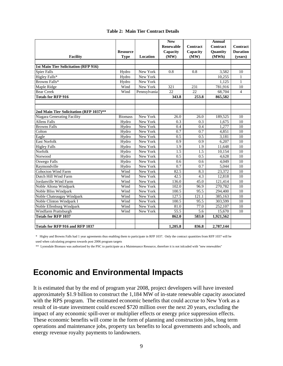<span id="page-11-0"></span>

|                                         |                 |              | <b>New</b>       |          | <b>Annual</b>   |                 |
|-----------------------------------------|-----------------|--------------|------------------|----------|-----------------|-----------------|
|                                         |                 |              | Renewable        | Contract | Contract        | Contract        |
|                                         | <b>Resource</b> |              | Capacity         | Capacity | <b>Ouantity</b> | <b>Duration</b> |
| <b>Facility</b>                         | <b>Type</b>     | Location     | (MW)             | (MW)     | (MWh)           | (years)         |
|                                         |                 |              |                  |          |                 |                 |
| 1st Main Tier Solicitation (RFP 916)    |                 |              |                  |          |                 |                 |
| <b>Spier Falls</b>                      | Hydro           | New York     | 0.8              | 0.8      | 3.582           | 10              |
| Higley Falls*                           | Hydro           | New York     |                  |          | 10,255          | $\mathbf{1}$    |
| <b>Browns Falls*</b>                    | Hydro           | New York     |                  |          | 1,125           | $\mathbf{1}$    |
| Maple Ridge                             | Wind            | New York     | $\overline{321}$ | 231      | 781,916         | $\overline{10}$ |
| <b>Bear Creek</b>                       | Wind            | Pennsylvania | 22               | 22       | 68,704          | $\overline{4}$  |
| <b>Totals for RFP 916</b>               |                 |              | 343.8            | 253.8    | 865,582         |                 |
|                                         |                 |              |                  |          |                 |                 |
|                                         |                 |              |                  |          |                 |                 |
| 2nd Main Tier Solicitation (RFP 1037)** |                 |              |                  |          |                 |                 |
| Niagara Generating Facility             | <b>Biomass</b>  | New York     | 26.0             | 26.0     | 189,525         | 10              |
| <b>Allens Falls</b>                     | Hydro           | New York     | 0.3              | 0.3      | 1,675           | 10              |
| <b>Browns Falls</b>                     | Hydro           | New York     | 0.4              | 0.4      | 1,277           | 10              |
| Colton                                  | Hydro           | New York     | 0.7              | 0.7      | 4,851           | 10              |
| Eagle                                   | Hydro           | New York     | 0.5              | 0.5      | 3.181           | 10              |
| <b>East Norfolk</b>                     | Hydro           | New York     | 0.9              | 0.9      | 6.207           | 10              |
| <b>Higley Falls</b>                     | Hydro           | New York     | 1.9              | 1.9      | 11,648          | 10              |
| Norfolk                                 | Hydro           | New York     | 1.5              | 1.5      | 10.154          | 10              |
| Norwood                                 | Hydro           | New York     | 0.5              | 0.5      | 4,628           | 10              |
| <b>Oswego Falls</b>                     | Hydro           | New York     | 0.6              | 0.6      | 4.049           | 10              |
| Raymondville                            | Hydro           | New York     | 0.7              | 0.7      | 5,044           | 10              |
| <b>Cohocton Wind Farm</b>               | Wind            | New York     | 82.5             | 8.3      | 23,372          | 10              |
| Dutch Hill Wind Farm                    | Wind            | New York     | 42.5             | 4.3      | 12,818          | $\overline{10}$ |
| Jordanville Wind Farm                   | Wind            | New York     | 136.0            | 45.0     | 121,414         | 10              |
| Noble Altona Windpark                   | Wind            | New York     | 102.0            | 96.9     | 270,782         | 10              |
| Noble Bliss Windpark                    | Wind            | New York     | 100.5            | 95.5     | 294,400         | 10              |
| Noble Chateaugay Windpark               | Wind            | New York     | 127.5            | 121.1    | 385,163         | 10              |
| Noble Clinton Windpark I                | Wind            | New York     | 100.5            | 95.5     | 303,599         | 10              |
| Noble Ellenburg Windpark                | Wind            | New York     | 81.0             | 77.0     | 252,107         | 10              |
| Windfarm Prattsburgh                    | Wind            | New York     | 55.5             | 5.6      | 15,670          | 10              |
| <b>Totals for RFP 1037</b>              |                 |              | 862.0            | 583.0    | 1,921,562       |                 |
|                                         |                 |              |                  |          |                 |                 |
| Totals for RFP 916 and RFP 1037         |                 |              | 1,205.8          | 836.8    | 2,787,144       |                 |

#### **Table 2: Main Tier Contract Details**

\* Higley and Browns Falls had 1 year agreements thus enabling them to participate in RFP 1037. Only the contract quantities from RFP 1037 will be

used when calculating progress towards post 2006 program targets

\*\* Lyonsdale Biomass was authorized by the PSC to participate as a Maintenance Resource, therefore it is not inlcuded with "new renewables"

### **Economic and Environmental Impacts**

It is estimated that by the end of program year 2008, project developers will have invested approximately \$1.9 billion to construct the 1,184 MW of in-state renewable capacity associated with the RPS program. The estimated economic benefits that could accrue to New York as a result of in-state investment could exceed \$720 million over the next 20 years, excluding the impact of any economic spill-over or multiplier effects or energy price suppression effects. These economic benefits will come in the form of planning and construction jobs, long term operations and maintenance jobs, property tax benefits to local governments and schools, and energy revenue royalty payments to landowners.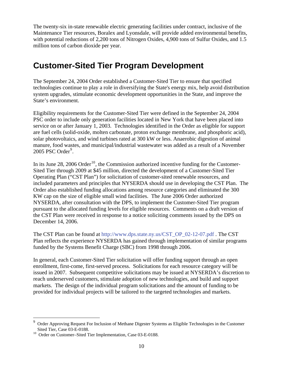<span id="page-12-0"></span>The twenty-six in-state renewable electric generating facilities under contract, inclusive of the Maintenance Tier resources, Boralex and Lyonsdale, will provide added environmental benefits, with potential reductions of 2,200 tons of Nitrogen Oxides, 4,900 tons of Sulfur Oxides, and 1.5 million tons of carbon dioxide per year.

### **Customer-Sited Tier Program Development**

The September 24, 2004 Order established a Customer-Sited Tier to ensure that specified technologies continue to play a role in diversifying the State's energy mix, help avoid distribution system upgrades, stimulate economic development opportunities in the State, and improve the State's environment.

Eligibility requirements for the Customer-Sited Tier were defined in the September 24, 2004 PSC order to include only generation facilities located in New York that have been placed into service on or after January 1, 2003. Technologies identified in the Order as eligible for support are fuel cells (solid-oxide, molten carbonate, proton exchange membrane, and phosphoric acid), solar photovoltaics, and wind turbines rated at 300 kW or less. Anaerobic digestion of animal manure, food wastes, and municipal/industrial wastewater was added as a result of a November  $2005$  PSC Order $9$ .

In its June 28, 2006 Order<sup>[10](#page-12-2)</sup>, the Commission authorized incentive funding for the Customer-Sited Tier through 2009 at \$45 million, directed the development of a Customer-Sited Tier Operating Plan ("CST Plan") for solicitation of customer-sited renewable resources, and included parameters and principles that NYSERDA should use in developing the CST Plan. The Order also established funding allocations among resource categories and eliminated the 300 KW cap on the size of eligible small wind facilities. The June 2006 Order authorized NYSERDA, after consultation with the DPS, to implement the Customer-Sited Tier program pursuant to the allocated funding levels for eligible resources. Comments on a draft version of the CST Plan were received in response to a notice soliciting comments issued by the DPS on December 14, 2006.

The CST Plan can be found at [http://www.dps.state.ny.us/CST\\_OP\\_02-12-07.pdf](http://www.dps.state.ny.us/CST_OP_02-12-07.pdf) . The CST Plan reflects the experience NYSERDA has gained through implementation of similar programs funded by the Systems Benefit Charge (SBC) from 1998 through 2006.

In general, each Customer-Sited Tier solicitation will offer funding support through an open enrollment, first-come, first-served process. Solicitations for each resource category will be issued in 2007. Subsequent competitive solicitations may be issued at NYSERDA's discretion to reach underserved customers, stimulate adoption of new technologies, and build and support markets. The design of the individual program solicitations and the amount of funding to be provided for individual projects will be tailored to the targeted technologies and markets.

 $\overline{a}$ 

<span id="page-12-1"></span><sup>9</sup> Order Approving Request For Inclusion of Methane Digester Systems as Eligible Technologies in the Customer

<span id="page-12-2"></span><sup>&</sup>lt;sup>10</sup> Order on Customer–Sited Tier Implementation, Case 03-E-0188.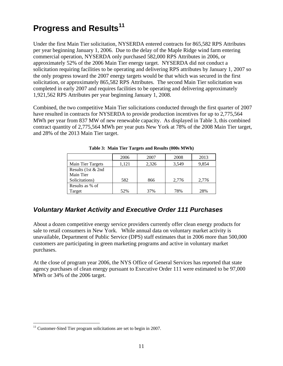## <span id="page-13-0"></span>**Progress and Results[11](#page-13-1)**

Under the first Main Tier solicitation, NYSERDA entered contracts for 865,582 RPS Attributes per year beginning January 1, 2006. Due to the delay of the Maple Ridge wind farm entering commercial operation, NYSERDA only purchased 582,000 RPS Attributes in 2006, or approximately 52% of the 2006 Main Tier energy target. NYSERDA did not conduct a solicitation requiring facilities to be operating and delivering RPS attributes by January 1, 2007 so the only progress toward the 2007 energy targets would be that which was secured in the first solicitation, or approximately 865,582 RPS Attributes. The second Main Tier solicitation was completed in early 2007 and requires facilities to be operating and delivering approximately 1,921,562 RPS Attributes per year beginning January 1, 2008.

Combined, the two competitive Main Tier solicitations conducted through the first quarter of 2007 have resulted in contracts for NYSERDA to provide production incentives for up to 2,775,564 MWh per year from 837 MW of new renewable capacity. As displayed in Table 3, this combined contract quantity of 2,775,564 MWh per year puts New York at 78% of the 2008 Main Tier target, and 28% of the 2013 Main Tier target.

|                    | 2006  | 2007  | 2008  | 2013  |
|--------------------|-------|-------|-------|-------|
| Main Tier Targets  | 1.121 | 2,326 | 3,549 | 9,854 |
| Results (1st & 2nd |       |       |       |       |
| Main Tier          |       |       |       |       |
| Solicitations)     | 582   | 866   | 2,776 | 2,776 |
| Results as % of    |       |       |       |       |
| Target             | 52%   | 37%   | 78%   | 28%   |

**Table 3: Main Tier Targets and Results (000s MWh)** 

#### *Voluntary Market Activity and Executive Order 111 Purchases*

About a dozen competitive energy service providers currently offer clean energy products for sale to retail consumers in New York. While annual data on voluntary market activity is unavailable, Department of Public Service (DPS) staff estimates that in 2006 more than 500,000 customers are participating in green marketing programs and active in voluntary market purchases.

At the close of program year 2006, the NYS Office of General Services has reported that state agency purchases of clean energy pursuant to Executive Order 111 were estimated to be 97,000 MWh or 34% of the 2006 target.

<span id="page-13-1"></span> $\overline{a}$  $11$  Customer-Sited Tier program solicitations are set to begin in 2007.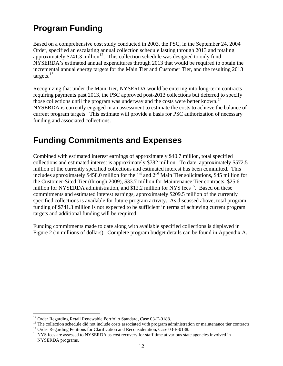### <span id="page-14-0"></span>**Program Funding**

Based on a comprehensive cost study conducted in 2003, the PSC, in the September 24, 2004 Order, specified an escalating annual collection schedule lasting through 2013 and totaling approximately  $$741.3$  million<sup>[12](#page-14-1)</sup>. This collection schedule was designed to only fund NYSERDA's estimated annual expenditures through 2013 that would be required to obtain the incremental annual energy targets for the Main Tier and Customer Tier, and the resulting 2013 targets. $^{13}$  $^{13}$  $^{13}$ 

Recognizing that under the Main Tier, NYSERDA would be entering into long-term contracts requiring payments past 2013, the PSC approved post-2013 collections but deferred to specify those collections until the program was underway and the costs were better known.<sup>[14](#page-14-3)</sup> NYSERDA is currently engaged in an assessment to estimate the costs to achieve the balance of current program targets. This estimate will provide a basis for PSC authorization of necessary funding and associated collections.

### **Funding Commitments and Expenses**

Combined with estimated interest earnings of approximately \$40.7 million, total specified collections and estimated interest is approximately \$782 million. To date, approximately \$572.5 million of the currently specified collections and estimated interest has been committed. This includes approximately \$458.0 million for the  $1<sup>st</sup>$  and  $2<sup>nd</sup>$  Main Tier solicitations, \$45 million for the Customer-Sited Tier (through 2009), \$33.7 million for Maintenance Tier contracts, \$25.6 million for NYSERDA administration, and \$12.2 million for NYS fees<sup>[15](#page-14-4)</sup>. Based on these commitments and estimated interest earnings, approximately \$209.5 million of the currently specified collections is available for future program activity. As discussed above, total program funding of \$741.3 million is not expected to be sufficient in terms of achieving current program targets and additional funding will be required.

Funding commitments made to date along with available specified collections is displayed in Figure 2 (in millions of dollars). Complete program budget details can be found in Appendix A.

 $\overline{a}$ <sup>12</sup> Order Regarding Retail Renewable Portfolio Standard, Case 03-E-0188.

<span id="page-14-3"></span><span id="page-14-2"></span><span id="page-14-1"></span><sup>&</sup>lt;sup>13</sup> The collection schedule did not include costs associated with program administration or maintenance tier contracts  $14$  Order Regarding Petitions for Clarification and Reconsideration, Case 03-E-0188.

<span id="page-14-4"></span><sup>&</sup>lt;sup>15</sup> NYS fees are assessed to NYSERDA as cost recovery for staff time at various state agencies involved in NYSERDA programs.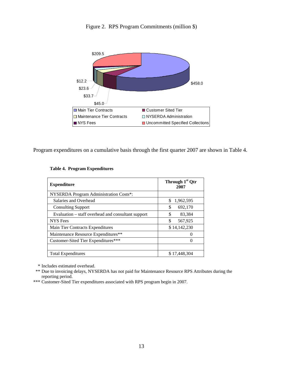



Program expenditures on a cumulative basis through the first quarter 2007 are shown in Table 4.

| <b>Expenditure</b>                                 | Through 1 <sup>st</sup> Qtr<br>2007 |
|----------------------------------------------------|-------------------------------------|
| NYSERDA Program Administration Costs*:             |                                     |
| Salaries and Overhead                              | \$<br>1,962,595                     |
| <b>Consulting Support</b>                          | \$<br>692,170                       |
| Evaluation – staff overhead and consultant support | \$<br>83,384                        |
| <b>NYS</b> Fees                                    | \$<br>567,925                       |
| Main Tier Contracts Expenditures                   | \$14,142,230                        |
| Maintenance Resource Expenditures**                |                                     |
| Customer-Sited Tier Expenditures***                | 0                                   |
|                                                    |                                     |
| <b>Total Expenditures</b>                          | \$17,448,304                        |

#### **Table 4. Program Expenditures**

\* Includes estimated overhead.

 \*\* Due to invoicing delays, NYSERDA has not paid for Maintenance Resource RPS Attributes during the reporting period.

\*\*\* Customer-Sited Tier expenditures associated with RPS program begin in 2007.